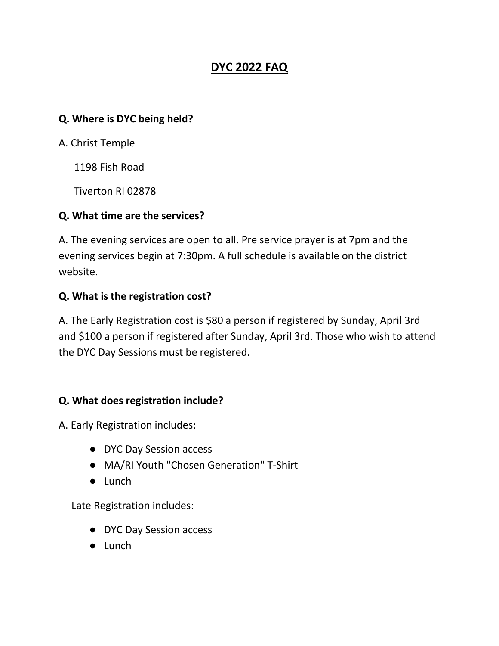# **DYC 2022 FAQ**

### **Q. Where is DYC being held?**

A. Christ Temple

1198 Fish Road

Tiverton RI 02878

### **Q. What time are the services?**

A. The evening services are open to all. Pre service prayer is at 7pm and the evening services begin at 7:30pm. A full schedule is available on the district website.

### **Q. What is the registration cost?**

A. The Early Registration cost is \$80 a person if registered by Sunday, April 3rd and \$100 a person if registered after Sunday, April 3rd. Those who wish to attend the DYC Day Sessions must be registered.

## **Q. What does registration include?**

A. Early Registration includes:

- DYC Day Session access
- MA/RI Youth "Chosen Generation" T-Shirt
- Lunch

Late Registration includes:

- DYC Day Session access
- Lunch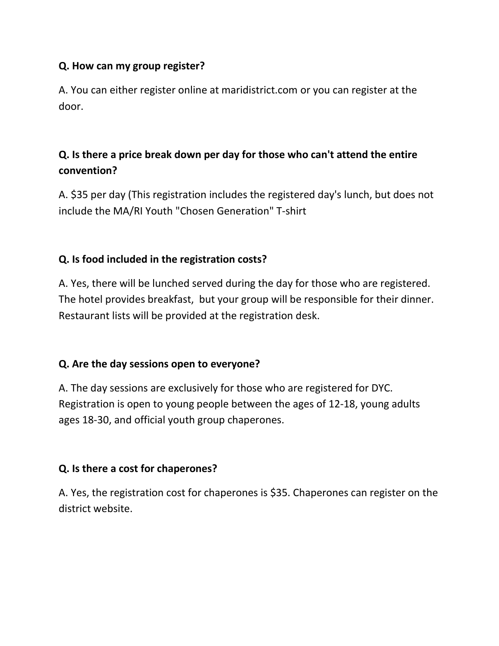## **Q. How can my group register?**

A. You can either register online at maridistrict.com or you can register at the door.

## **Q. Is there a price break down per day for those who can't attend the entire convention?**

A. \$35 per day (This registration includes the registered day's lunch, but does not include the MA/RI Youth "Chosen Generation" T-shirt

## **Q. Is food included in the registration costs?**

A. Yes, there will be lunched served during the day for those who are registered. The hotel provides breakfast, but your group will be responsible for their dinner. Restaurant lists will be provided at the registration desk.

## **Q. Are the day sessions open to everyone?**

A. The day sessions are exclusively for those who are registered for DYC. Registration is open to young people between the ages of 12-18, young adults ages 18-30, and official youth group chaperones.

## **Q. Is there a cost for chaperones?**

A. Yes, the registration cost for chaperones is \$35. Chaperones can register on the district website.